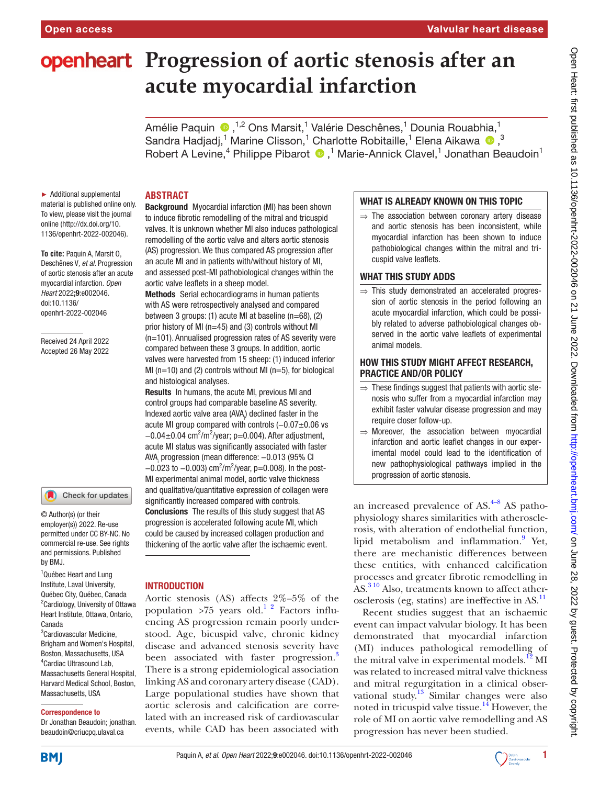# **openheart** Progression of aortic stenosis after an **acute myocardial infarction**

AméliePaquin (D, <sup>1,2</sup> Ons Marsit, <sup>1</sup> Valérie Deschênes, <sup>1</sup> Dounia Rouabhia, <sup>1</sup> Sandra Hadjadj,<sup>1</sup> Marine Clisson,<sup>1</sup> Charlotte Robitaille,<sup>1</sup> Elena Aikawa <sup>1</sup>0,<sup>3</sup> RobertA Levine,<sup>4</sup> Philippe Pibarot <sup>1</sup>,<sup>1</sup> Marie-Annick Clavel,<sup>1</sup> Jonathan Beaudoin<sup>1</sup>

► Additional supplemental material is published online only. To view, please visit the journal online [\(http://dx.doi.org/10.](http://dx.doi.org/10.1136/openhrt-2022-002046) [1136/openhrt-2022-002046\)](http://dx.doi.org/10.1136/openhrt-2022-002046).

**To cite:** Paquin A, Marsit O, Deschênes V*, et al*. Progression of aortic stenosis after an acute myocardial infarction*. Open Heart* 2022;9:e002046. doi:10.1136/ openhrt-2022-002046

Received 24 April 2022 Accepted 26 May 2022

#### Check for updates

© Author(s) (or their employer(s)) 2022. Re-use permitted under CC BY-NC. No commercial re-use. See rights and permissions. Published by BMJ.

<sup>1</sup>Québec Heart and Lung Institute, Laval University, Québec City, Québec, Canada <sup>2</sup> Cardiology, University of Ottawa Heart Institute, Ottawa, Ontario, Canada <sup>3</sup>Cardiovascular Medicine,

Brigham and Women's Hospital, Boston, Massachusetts, USA 4 Cardiac Ultrasound Lab, Massachusetts General Hospital, Harvard Medical School, Boston, Massachusetts, USA

#### Correspondence to

Dr Jonathan Beaudoin; jonathan. beaudoin@criucpq.ulaval.ca

#### **ABSTRACT**

Background Myocardial infarction (MI) has been shown to induce fibrotic remodelling of the mitral and tricuspid valves. It is unknown whether MI also induces pathological remodelling of the aortic valve and alters aortic stenosis (AS) progression. We thus compared AS progression after an acute MI and in patients with/without history of MI, and assessed post-MI pathobiological changes within the aortic valve leaflets in a sheep model.

Methods Serial echocardiograms in human patients with AS were retrospectively analysed and compared between 3 groups: (1) acute MI at baseline (n=68), (2) prior history of MI (n=45) and (3) controls without MI (n=101). Annualised progression rates of AS severity were compared between these 3 groups. In addition, aortic valves were harvested from 15 sheep: (1) induced inferior MI ( $n=10$ ) and (2) controls without MI ( $n=5$ ), for biological and histological analyses.

Results In humans, the acute MI, previous MI and control groups had comparable baseline AS severity. Indexed aortic valve area (AVA $_{\rm i}$ ) declined faster in the acute MI group compared with controls (−0.07±0.06 vs  $-0.04 \pm 0.04$  cm<sup>2</sup>/m<sup>2</sup>/year; p=0.004). After adjustment, acute MI status was significantly associated with faster AVA<sub>i</sub> progression (mean difference: –0.013 (95% CI  $-0.023$  to  $-0.003$ ) cm<sup>2</sup>/m<sup>2</sup>/year, p=0.008). In the post-MI experimental animal model, aortic valve thickness and qualitative/quantitative expression of collagen were significantly increased compared with controls. **Conclusions** The results of this study suggest that AS progression is accelerated following acute MI, which could be caused by increased collagen production and thickening of the aortic valve after the ischaemic event.

#### INTRODUCTION

Aortic stenosis (AS) affects 2%–5% of the population  $>75$  years old.<sup>1</sup><sup>2</sup> Factors influencing AS progression remain poorly understood. Age, bicuspid valve, chronic kidney disease and advanced stenosis severity have been associated with faster progression.<sup>3</sup> There is a strong epidemiological association linking AS and coronary artery disease (CAD). Large populational studies have shown that aortic sclerosis and calcification are correlated with an increased risk of cardiovascular events, while CAD has been associated with

#### WHAT IS ALREADY KNOWN ON THIS TOPIC

⇒ The association between coronary artery disease and aortic stenosis has been inconsistent, while myocardial infarction has been shown to induce pathobiological changes within the mitral and tricuspid valve leaflets.

#### WHAT THIS STUDY ADDS

 $\Rightarrow$  This study demonstrated an accelerated progression of aortic stenosis in the period following an acute myocardial infarction, which could be possibly related to adverse pathobiological changes observed in the aortic valve leaflets of experimental animal models.

## HOW THIS STUDY MIGHT AFFECT RESEARCH, PRACTICE AND/OR POLICY

- $\Rightarrow$  These findings suggest that patients with aortic stenosis who suffer from a myocardial infarction may exhibit faster valvular disease progression and may require closer follow-up.
- $\Rightarrow$  Moreover, the association between myocardial infarction and aortic leaflet changes in our experimental model could lead to the identification of new pathophysiological pathways implied in the progression of aortic stenosis.

an increased prevalence of  $AS$ .<sup>[4–8](#page-6-2)</sup> AS pathophysiology shares similarities with atherosclerosis, with alteration of endothelial function, lipid metabolism and inflammation.<sup>[9](#page-6-3)</sup> Yet, there are mechanistic differences between these entities, with enhanced calcification processes and greater fibrotic remodelling in AS.<sup>[3 10](#page-6-1)</sup> Also, treatments known to affect ather-osclerosis (eg, statins) are ineffective in AS.<sup>[11](#page-6-4)</sup>

Recent studies suggest that an ischaemic event can impact valvular biology. It has been demonstrated that myocardial infarction (MI) induces pathological remodelling of the mitral valve in experimental models.<sup>12</sup> MI was related to increased mitral valve thickness and mitral regurgitation in a clinical observational study.<sup>13</sup> Similar changes were also noted in tricuspid valve tissue.<sup>14</sup> However, the role of MI on aortic valve remodelling and AS progression has never been studied.

**BMJ** 

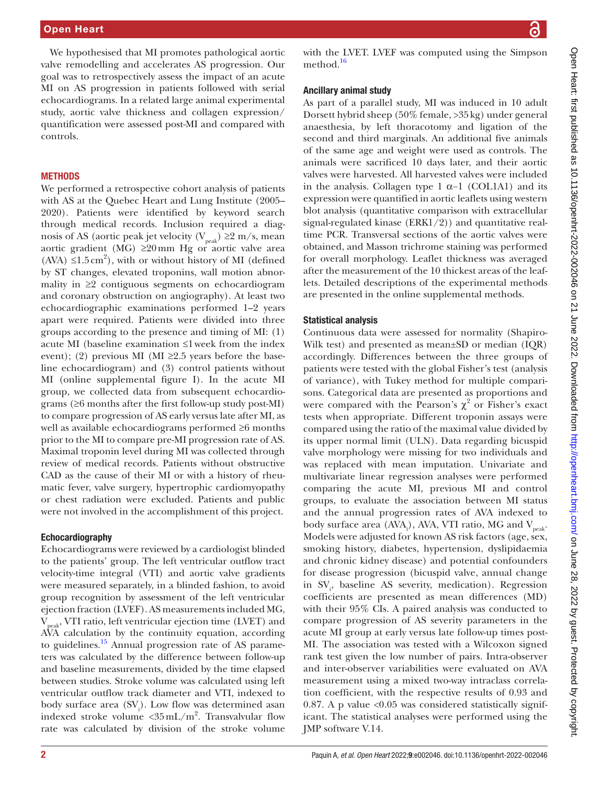We hypothesised that MI promotes pathological aortic valve remodelling and accelerates AS progression. Our goal was to retrospectively assess the impact of an acute MI on AS progression in patients followed with serial echocardiograms. In a related large animal experimental study, aortic valve thickness and collagen expression/ quantification were assessed post-MI and compared with controls.

## **METHODS**

We performed a retrospective cohort analysis of patients with AS at the Quebec Heart and Lung Institute (2005– 2020). Patients were identified by keyword search through medical records. Inclusion required a diagnosis of AS (aortic peak jet velocity ( $V_{peak}$ ) ≥2 m/s, mean aortic gradient (MG) ≥20mm Hg or aortic valve area (AVA)  $\leq 1.5 \text{ cm}^2$ ), with or without history of MI (defined by ST changes, elevated troponins, wall motion abnormality in ≥2 contiguous segments on echocardiogram and coronary obstruction on angiography). At least two echocardiographic examinations performed 1–2 years apart were required. Patients were divided into three groups according to the presence and timing of MI: (1) acute MI (baseline examination ≤1week from the index event); (2) previous MI (MI  $\geq$ 2.5 years before the baseline echocardiogram) and (3) control patients without MI [\(online supplemental figure I\)](https://dx.doi.org/10.1136/openhrt-2022-002046). In the acute MI group, we collected data from subsequent echocardiograms  $(\geq 6$  months after the first follow-up study post-MI) to compare progression of AS early versus late after MI, as well as available echocardiograms performed ≥6 months prior to the MI to compare pre-MI progression rate of AS. Maximal troponin level during MI was collected through review of medical records. Patients without obstructive CAD as the cause of their MI or with a history of rheumatic fever, valve surgery, hypertrophic cardiomyopathy or chest radiation were excluded. Patients and public were not involved in the accomplishment of this project.

## Echocardiography

Echocardiograms were reviewed by a cardiologist blinded to the patients' group. The left ventricular outflow tract velocity-time integral (VTI) and aortic valve gradients were measured separately, in a blinded fashion, to avoid group recognition by assessment of the left ventricular ejection fraction (LVEF). AS measurements included MG,  $V_{peak}$ , VTI ratio, left ventricular ejection time (LVET) and AVA calculation by the continuity equation, according to guidelines.<sup>15</sup> Annual progression rate of AS parameters was calculated by the difference between follow-up and baseline measurements, divided by the time elapsed between studies. Stroke volume was calculated using left ventricular outflow track diameter and VTI, indexed to body surface area  $(SV_i)$ . Low flow was determined asan indexed stroke volume  $\langle 35 \text{ mL/m}^2$ . Transvalvular flow rate was calculated by division of the stroke volume

with the LVET. LVEF was computed using the Simpson method.<sup>[16](#page-6-9)</sup>

## Ancillary animal study

As part of a parallel study, MI was induced in 10 adult Dorsett hybrid sheep (50% female, >35kg) under general anaesthesia, by left thoracotomy and ligation of the second and third marginals. An additional five animals of the same age and weight were used as controls. The animals were sacrificed 10 days later, and their aortic valves were harvested. All harvested valves were included in the analysis. Collagen type 1  $\alpha$ -1 (COL1A1) and its expression were quantified in aortic leaflets using western blot analysis (quantitative comparison with extracellular signal-regulated kinase (ERK1/2)) and quantitative realtime PCR. Transversal sections of the aortic valves were obtained, and Masson trichrome staining was performed for overall morphology. Leaflet thickness was averaged after the measurement of the 10 thickest areas of the leaflets. Detailed descriptions of the experimental methods are presented in the [online supplemental methods.](https://dx.doi.org/10.1136/openhrt-2022-002046)

## Statistical analysis

Continuous data were assessed for normality (Shapiro-Wilk test) and presented as mean±SD or median (IQR) accordingly. Differences between the three groups of patients were tested with the global Fisher's test (analysis of variance), with Tukey method for multiple comparisons. Categorical data are presented as proportions and were compared with the Pearson's  $\chi^2$  or Fisher's exact tests when appropriate. Different troponin assays were compared using the ratio of the maximal value divided by its upper normal limit (ULN). Data regarding bicuspid valve morphology were missing for two individuals and was replaced with mean imputation. Univariate and multivariate linear regression analyses were performed comparing the acute MI, previous MI and control groups, to evaluate the association between MI status and the annual progression rates of AVA indexed to body surface area (AVA<sub>i</sub>), AVA, VTI ratio, MG and  $V_{\text{peak}}$ . Models were adjusted for known AS risk factors (age, sex, smoking history, diabetes, hypertension, dyslipidaemia and chronic kidney disease) and potential confounders for disease progression (bicuspid valve, annual change in SV<sub>i</sub>, baseline AS severity, medication). Regression coefficients are presented as mean differences (MD) with their 95% CIs. A paired analysis was conducted to compare progression of AS severity parameters in the acute MI group at early versus late follow-up times post-MI. The association was tested with a Wilcoxon signed rank test given the low number of pairs. Intra-observer and inter-observer variabilities were evaluated on AVA measurement using a mixed two-way intraclass correlation coefficient, with the respective results of 0.93 and 0.87. A p value  $\langle 0.05 \rangle$  was considered statistically significant. The statistical analyses were performed using the JMP software V.14.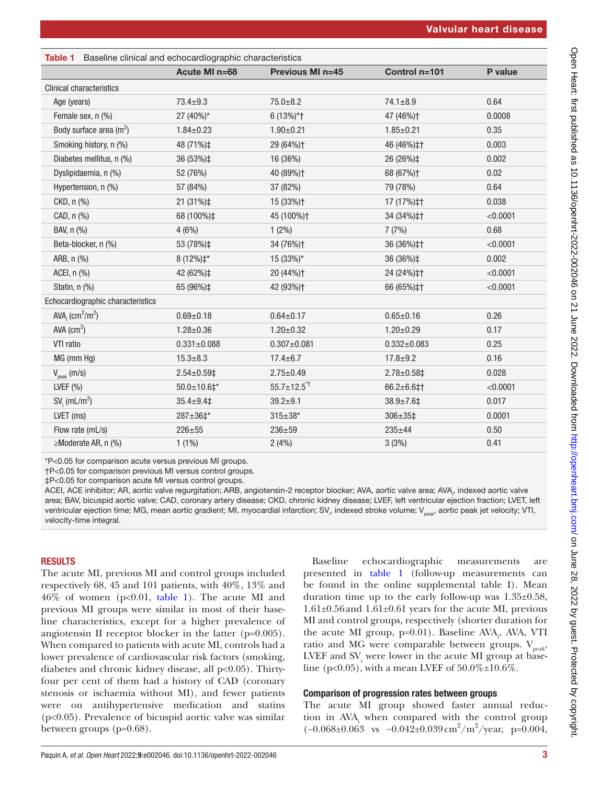<span id="page-2-0"></span>

| Table 1 Baseline clinical and echocardiographic characteristics |                     |                            |                          |          |  |
|-----------------------------------------------------------------|---------------------|----------------------------|--------------------------|----------|--|
|                                                                 | Acute MI n=68       | Previous MI n=45           | Control n=101            | P value  |  |
| <b>Clinical characteristics</b>                                 |                     |                            |                          |          |  |
| Age (years)                                                     | $73.4 \pm 9.3$      | $75.0 + 8.2$               | $74.1 \pm 8.9$           | 0.64     |  |
| Female sex, n (%)                                               | 27 (40%)*           | $6(13\%)*$ †               | 47 (46%)†                | 0.0008   |  |
| Body surface area $(m^2)$                                       | $1.84 \pm 0.23$     | $1.90 \pm 0.21$            | $1.85 \pm 0.21$          | 0.35     |  |
| Smoking history, n (%)                                          | 48 (71%)‡           | 29 (64%) <sup>+</sup>      | 46 (46%) ‡†              | 0.003    |  |
| Diabetes mellitus, n (%)                                        | 36 (53%)‡           | 16 (36%)                   | 26 (26%)‡                | 0.002    |  |
| Dyslipidaemia, n (%)                                            | 52 (76%)            | 40 (89%) <sup>+</sup>      | 68 (67%) <sup>+</sup>    | 0.02     |  |
| Hypertension, n (%)                                             | 57 (84%)            | 37 (82%)                   | 79 (78%)                 | 0.64     |  |
| CKD, n (%)                                                      | 21 (31%)‡           | 15 (33%)+                  | 17 (17%) ‡†              | 0.038    |  |
| CAD, n (%)                                                      | 68 (100%)‡          | 45 (100%)+                 | 34 (34%) ‡†              | < 0.0001 |  |
| BAV, n (%)                                                      | 4(6%)               | $1(2\%)$                   | 7(7%)                    | 0.68     |  |
| Beta-blocker, n (%)                                             | 53 (78%)‡           | 34 (76%) <sup>+</sup>      | 36 (36%) ‡†              | < 0.0001 |  |
| ARB, n (%)                                                      | $8(12\%)\ddagger^*$ | 15 (33%)*                  | 36 (36%)‡                | 0.002    |  |
| ACEI, n (%)                                                     | 42 (62%)‡           | 20 (44%) <sup>+</sup>      | 24 (24%) ‡†              | < 0.0001 |  |
| Statin, n (%)                                                   | 65 (96%)‡           | 42 (93%) <sup>+</sup>      | 66 (65%) ‡†              | < 0.0001 |  |
| Echocardiographic characteristics                               |                     |                            |                          |          |  |
| AVA, $\text{(cm}^2/\text{m}^2)$                                 | $0.69 + 0.18$       | $0.64 \pm 0.17$            | $0.65 \pm 0.16$          | 0.26     |  |
| AVA $\text{(cm}^2\text{)}$                                      | $1.28 \pm 0.36$     | $1.20 \pm 0.32$            | $1.20 \pm 0.29$          | 0.17     |  |
| VTI ratio                                                       | $0.331 \pm 0.088$   | $0.307 \pm 0.081$          | $0.332 \pm 0.083$        | 0.25     |  |
| MG (mm Hg)                                                      | $15.3 \pm 8.3$      | $17.4 \pm 6.7$             | $17.8 + 9.2$             | 0.16     |  |
| $V_{peak}$ (m/s)                                                | $2.54 \pm 0.59$ ‡   | $2.75 \pm 0.49$            | $2.78 \pm 0.58 \ddagger$ | 0.028    |  |
| LVEF $(% )$                                                     | $50.0 \pm 10.6$ #*  | $55.7 \pm 12.5^{\text{+}}$ | $66.2 \pm 6.6 \ddagger$  | < 0.0001 |  |
| $SVi$ (mL/m <sup>2</sup> )                                      | $35.4 \pm 9.4 \pm$  | $39.2 + 9.1$               | $38.9 \pm 7.6 \ddagger$  | 0.017    |  |
| LVET (ms)                                                       | 287±36‡*            | $315 \pm 38*$              | $306 \pm 351$            | 0.0001   |  |
| Flow rate (mL/s)                                                | $226 + 55$          | $236 + 59$                 | $235 + 44$               | 0.50     |  |
| ≥Moderate AR, n (%)                                             | $1(1\%)$            | 2(4%)                      | 3(3%)                    | 0.41     |  |

\*P<0.05 for comparison acute versus previous MI groups.

†P<0.05 for comparison previous MI versus control groups.

‡P<0.05 for comparison acute MI versus control groups.

ACEI, ACE inhibitor; AR, aortic valve regurgitation; ARB, angiotensin-2 receptor blocker; AVA, aortic valve area; AVA,, indexed aortic valve area; BAV, bicuspid aortic valve; CAD, coronary artery disease; CKD, chronic kidney disease; LVEF, left ventricular ejection fraction; LVET, left ventricular ejection time; MG, mean aortic gradient; MI, myocardial infarction; SV<sub>i</sub>, indexed stroke volume; V<sub>peak</sub>, aortic peak jet velocity; VTI, velocity-time integral.

## RESULTS

The acute MI, previous MI and control groups included respectively 68, 45 and 101 patients, with 40%, 13% and  $46\%$  of women (p<0.01, [table](#page-2-0) 1). The acute MI and previous MI groups were similar in most of their baseline characteristics, except for a higher prevalence of angiotensin II receptor blocker in the latter (p=0.005). When compared to patients with acute MI, controls had a lower prevalence of cardiovascular risk factors (smoking, diabetes and chronic kidney disease, all p<0.05). Thirtyfour per cent of them had a history of CAD (coronary stenosis or ischaemia without MI), and fewer patients were on antihypertensive medication and statins (p<0.05). Prevalence of bicuspid aortic valve was similar between groups (p=0.68).

Baseline echocardiographic measurements are presented in [table](#page-2-0) 1 (follow-up measurements can be found in the [online supplemental table I\)](https://dx.doi.org/10.1136/openhrt-2022-002046). Mean duration time up to the early follow-up was 1.35±0.58, 1.61±0.56and 1.61±0.61 years for the acute MI, previous MI and control groups, respectively (shorter duration for the acute MI group, p=0.01). Baseline AVA<sub>i</sub>, AVA, VTI ratio and MG were comparable between groups.  $V_{peak}$ , LVEF and  $SV<sub>i</sub>$  were lower in the acute MI group at baseline (p<0.05), with a mean LVEF of  $50.0\% \pm 10.6\%$ .

## Comparison of progression rates between groups

The acute MI group showed faster annual reduction in  $AVA<sub>i</sub>$  when compared with the control group  $(-0.068±0.063$  vs  $-0.042±0.039$  cm<sup>2</sup>/m<sup>2</sup>/year, p=0.004,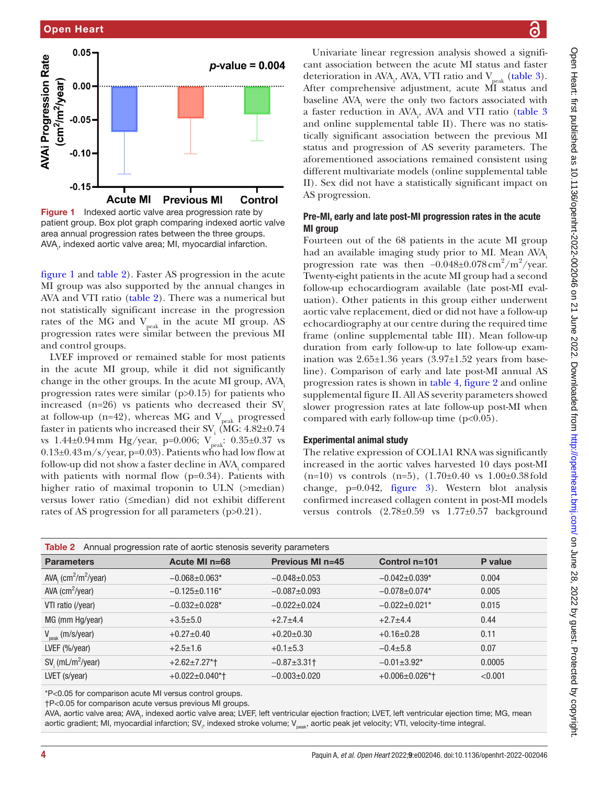

<span id="page-3-0"></span>Figure 1 Indexed aortic valve area progression rate by patient group. Box plot graph comparing indexed aortic valve area annual progression rates between the three groups. AVA<sub>1</sub>, indexed aortic valve area; MI, myocardial infarction.

[figure](#page-3-0) 1 and [table](#page-3-1) 2). Faster AS progression in the acute MI group was also supported by the annual changes in AVA and VTI ratio ([table](#page-3-1) 2). There was a numerical but not statistically significant increase in the progression rates of the MG and  $V_{peak}$  in the acute MI group. AS progression rates were similar between the previous MI and control groups.

LVEF improved or remained stable for most patients in the acute MI group, while it did not significantly change in the other groups. In the acute MI group, AVA. progression rates were similar  $(p>0.15)$  for patients who increased  $(n=26)$  vs patients who decreased their SV. at follow-up (n=42), whereas MG and  $V_{\text{peak}}$  progressed faster in patients who increased their  $\text{SV}_i$  (MG: 4.82±0.74 vs  $1.44\pm0.94$  mm Hg/year, p=0.006;  $V_{peak}$ : 0.35 $\pm0.37$  vs  $0.13\pm0.43\,\mathrm{m/s/year}$ , p=0.03). Patients who had low flow at follow-up did not show a faster decline in  $\text{AVA}_{\text{i}}$  compared with patients with normal flow  $(p=0.34)$ . Patients with higher ratio of maximal troponin to ULN (>median) versus lower ratio (≤median) did not exhibit different rates of AS progression for all parameters (p>0.21).

Univariate linear regression analysis showed a significant association between the acute MI status and faster deterioration in AVA<sub>i</sub>, AVA, VTI ratio and  $V_{\text{peak}}$  [\(table](#page-4-0) 3). After comprehensive adjustment, acute MI status and baseline  $AVA$ <sub>i</sub> were the only two factors associated with a faster reduction in AVA<sub>i</sub>, AVA and VTI ratio [\(table](#page-4-0) 3 and [online supplemental table II\)](https://dx.doi.org/10.1136/openhrt-2022-002046). There was no statistically significant association between the previous MI status and progression of AS severity parameters. The aforementioned associations remained consistent using different multivariate models [\(online supplemental table](https://dx.doi.org/10.1136/openhrt-2022-002046)  [II](https://dx.doi.org/10.1136/openhrt-2022-002046)). Sex did not have a statistically significant impact on AS progression.

## Pre-MI, early and late post-MI progression rates in the acute MI group

Fourteen out of the 68 patients in the acute MI group had an available imaging study prior to MI. Mean AVA. progression rate was then  $-0.048\pm0.078 \text{ cm}^2/\text{m}^2/\text{year}.$ Twenty-eight patients in the acute MI group had a second follow-up echocardiogram available (late post-MI evaluation). Other patients in this group either underwent aortic valve replacement, died or did not have a follow-up echocardiography at our centre during the required time frame [\(online supplemental table III](https://dx.doi.org/10.1136/openhrt-2022-002046)). Mean follow-up duration from early follow-up to late follow-up examination was  $2.65\pm1.36$  years  $(3.97\pm1.52)$  years from baseline). Comparison of early and late post-MI annual AS progression rates is shown in [table](#page-4-1) 4, [figure](#page-5-0) 2 and [online](https://dx.doi.org/10.1136/openhrt-2022-002046)  [supplemental figure II](https://dx.doi.org/10.1136/openhrt-2022-002046). All AS severity parameters showed slower progression rates at late follow-up post-MI when compared with early follow-up time (p<0.05).

# Experimental animal study

The relative expression of COL1A1 RNA was significantly increased in the aortic valves harvested 10 days post-MI  $(n=10)$  vs controls  $(n=5)$ ,  $(1.70\pm0.40$  vs  $1.00\pm0.38$  fold change, p=0.042, [figure](#page-5-1) 3). Western blot analysis confirmed increased collagen content in post-MI models versus controls (2.78±0.59 vs 1.77±0.57 background

<span id="page-3-1"></span>

| <b>Table 2</b> Annual progression rate of aortic stenosis severity parameters |                       |                         |                      |         |
|-------------------------------------------------------------------------------|-----------------------|-------------------------|----------------------|---------|
| <b>Parameters</b>                                                             | Acute MI $n=68$       | <b>Previous MI n=45</b> | Control $n=101$      | P value |
| AVA, $\frac{cm^2}{m^2}$ /year)                                                | $-0.068 \pm 0.063$ *  | $-0.048 \pm 0.053$      | $-0.042 \pm 0.039$ * | 0.004   |
| $AVA$ (cm <sup>2</sup> /year)                                                 | $-0.125 \pm 0.116$ *  | $-0.087 + 0.093$        | $-0.078 + 0.074*$    | 0.005   |
| VTI ratio (/year)                                                             | $-0.032 \pm 0.028$ *  | $-0.022 \pm 0.024$      | $-0.022 \pm 0.021$ * | 0.015   |
| MG (mm Hg/year)                                                               | $+3.5+5.0$            | $+2.7+4.4$              | $+2.7+4.4$           | 0.44    |
| $V_{\text{peak}}$ (m/s/year)                                                  | $+0.27+0.40$          | $+0.20\pm0.30$          | $+0.16\pm0.28$       | 0.11    |
| LVEF $(\frac{9}{6})$ year)                                                    | $+2.5 \pm 1.6$        | $+0.1 \pm 5.3$          | $-0.4 + 5.8$         | 0.07    |
| $SVi$ (mL/m <sup>2</sup> /year)                                               | $+2.62 \pm 7.27$ *†   | $-0.87 \pm 3.31$ †      | $-0.01 \pm 3.92$ *   | 0.0005  |
| LVET (s/year)                                                                 | $+0.022 \pm 0.040$ *† | $-0.003 \pm 0.020$      | $+0.006\pm0.026$ *†  | < 0.001 |

\*P<0.05 for comparison acute MI versus control groups.

†P<0.05 for comparison acute versus previous MI groups.

AVA, aortic valve area; AVA<sub>'</sub>, indexed aortic valve area; LVEF, left ventricular ejection fraction; LVET, left ventricular ejection time; MG, mean aortic gradient; MI, myocardial infarction; SV<sub>i</sub>, indexed stroke volume; V<sub>peak</sub>, aortic peak jet velocity; VTI, velocity-time integral.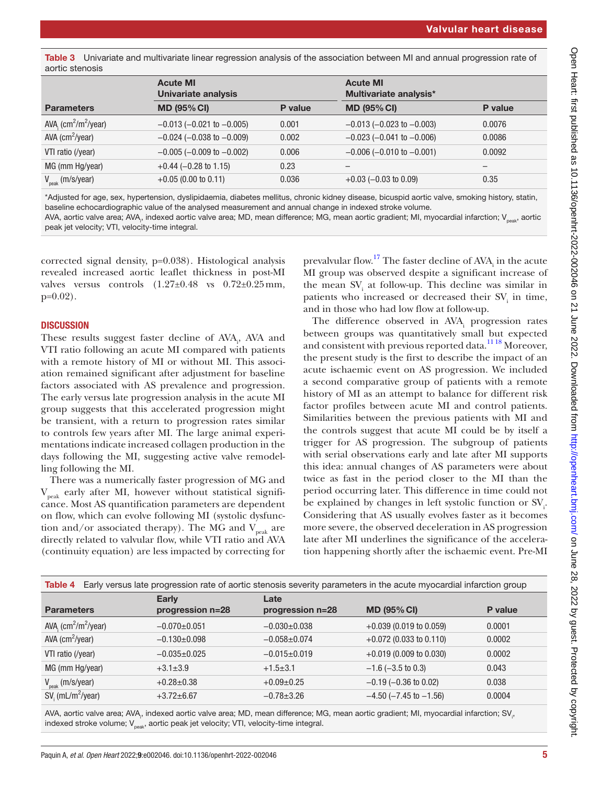<span id="page-4-0"></span>Table 3 Univariate and multivariate linear regression analysis of the association between MI and annual progression rate of aortic stenosis

|                                | <b>Acute MI</b><br><b>Univariate analysis</b> |         | <b>Acute MI</b><br>Multivariate analysis* |         |
|--------------------------------|-----------------------------------------------|---------|-------------------------------------------|---------|
| <b>Parameters</b>              | <b>MD (95% CI)</b>                            | P value | <b>MD (95% CI)</b>                        | P value |
| AVA, $\frac{cm^2}{m^2}$ /year) | $-0.013$ ( $-0.021$ to $-0.005$ )             | 0.001   | $-0.013$ ( $-0.023$ to $-0.003$ )         | 0.0076  |
| $AVA$ (cm <sup>2</sup> /year)  | $-0.024$ ( $-0.038$ to $-0.009$ )             | 0.002   | $-0.023$ ( $-0.041$ to $-0.006$ )         | 0.0086  |
| VTI ratio (/year)              | $-0.005$ ( $-0.009$ to $-0.002$ )             | 0.006   | $-0.006$ ( $-0.010$ to $-0.001$ )         | 0.0092  |
| MG (mm Hg/year)                | $+0.44$ (-0.28 to 1.15)                       | 0.23    |                                           |         |
| $V_{\text{peak}}$ (m/s/year)   | $+0.05$ (0.00 to 0.11)                        | 0.036   | $+0.03$ (-0.03 to 0.09)                   | 0.35    |

\*Adjusted for age, sex, hypertension, dyslipidaemia, diabetes mellitus, chronic kidney disease, bicuspid aortic valve, smoking history, statin, baseline echocardiographic value of the analysed measurement and annual change in indexed stroke volume.

AVA, aortic valve area; AVA<sub>ı</sub>, indexed aortic valve area; MD, mean difference; MG, mean aortic gradient; MI, myocardial infarction; V<sub>peak</sub>, aortic peak jet velocity; VTI, velocity-time integral.

corrected signal density, p=0.038). Histological analysis revealed increased aortic leaflet thickness in post-MI valves versus controls  $(1.27\pm0.48$  vs  $0.72\pm0.25$  mm,  $p=0.02$ ).

## **DISCUSSION**

These results suggest faster decline of AVA<sub>1</sub>, AVA and VTI ratio following an acute MI compared with patients with a remote history of MI or without MI. This association remained significant after adjustment for baseline factors associated with AS prevalence and progression. The early versus late progression analysis in the acute MI group suggests that this accelerated progression might be transient, with a return to progression rates similar to controls few years after MI. The large animal experimentations indicate increased collagen production in the days following the MI, suggesting active valve remodelling following the MI.

There was a numerically faster progression of MG and  $V_{\text{peak}}$  early after MI, however without statistical significance. Most AS quantification parameters are dependent on flow, which can evolve following MI (systolic dysfunction and/or associated therapy). The MG and  $V_{peak}$  are directly related to valvular flow, while VTI ratio and AVA (continuity equation) are less impacted by correcting for

prevalvular flow.<sup>17</sup> The faster decline of  $AVA$ <sub>i</sub> in the acute MI group was observed despite a significant increase of the mean  $SV<sub>i</sub>$  at follow-up. This decline was similar in patients who increased or decreased their  $SV_i$  in time, and in those who had low flow at follow-up.

The difference observed in  $AVA$ <sub>i</sub> progression rates between groups was quantitatively small but expected and consistent with previous reported data.[11 18](#page-6-4) Moreover, the present study is the first to describe the impact of an acute ischaemic event on AS progression. We included a second comparative group of patients with a remote history of MI as an attempt to balance for different risk factor profiles between acute MI and control patients. Similarities between the previous patients with MI and the controls suggest that acute MI could be by itself a trigger for AS progression. The subgroup of patients with serial observations early and late after MI supports this idea: annual changes of AS parameters were about twice as fast in the period closer to the MI than the period occurring later. This difference in time could not be explained by changes in left systolic function or SV<sub>i</sub>. Considering that AS usually evolves faster as it becomes more severe, the observed deceleration in AS progression late after MI underlines the significance of the acceleration happening shortly after the ischaemic event. Pre-MI

<span id="page-4-1"></span>

| Early versus late progression rate of aortic stenosis severity parameters in the acute myocardial infarction group<br>Table 4 |                                  |                          |                                |         |
|-------------------------------------------------------------------------------------------------------------------------------|----------------------------------|--------------------------|--------------------------------|---------|
| <b>Parameters</b>                                                                                                             | <b>Early</b><br>progression n=28 | Late<br>progression n=28 | <b>MD (95% CI)</b>             | P value |
| AVA, $\frac{cm^2}{m^2}$ /year)                                                                                                | $-0.070+0.051$                   | $-0.030+0.038$           | $+0.039$ (0.019 to 0.059)      | 0.0001  |
| $AVA$ (cm <sup>2</sup> /year)                                                                                                 | $-0.130+0.098$                   | $-0.058 + 0.074$         | $+0.072$ (0.033 to 0.110)      | 0.0002  |
| VTI ratio (/year)                                                                                                             | $-0.035+0.025$                   | $-0.015 \pm 0.019$       | $+0.019$ (0.009 to 0.030)      | 0.0002  |
| MG (mm Hg/year)                                                                                                               | $+3.1 \pm 3.9$                   | $+1.5+3.1$               | $-1.6$ ( $-3.5$ to 0.3)        | 0.043   |
| $V_{\text{peak}}$ (m/s/year)                                                                                                  | $+0.28 \pm 0.38$                 | $+0.09\pm0.25$           | $-0.19$ ( $-0.36$ to 0.02)     | 0.038   |
| $SVi$ (mL/m <sup>2</sup> /year)                                                                                               | $+3.72 \pm 6.67$                 | $-0.78 \pm 3.26$         | $-4.50$ ( $-7.45$ to $-1.56$ ) | 0.0004  |

AVA, aortic valve area; AVA<sub>i</sub>, indexed aortic valve area; MD, mean difference; MG, mean aortic gradient; MI, myocardial infarction; SV<sub>i</sub>, indexed stroke volume;  $V_{peak}$ , aortic peak jet velocity; VTI, velocity-time integral.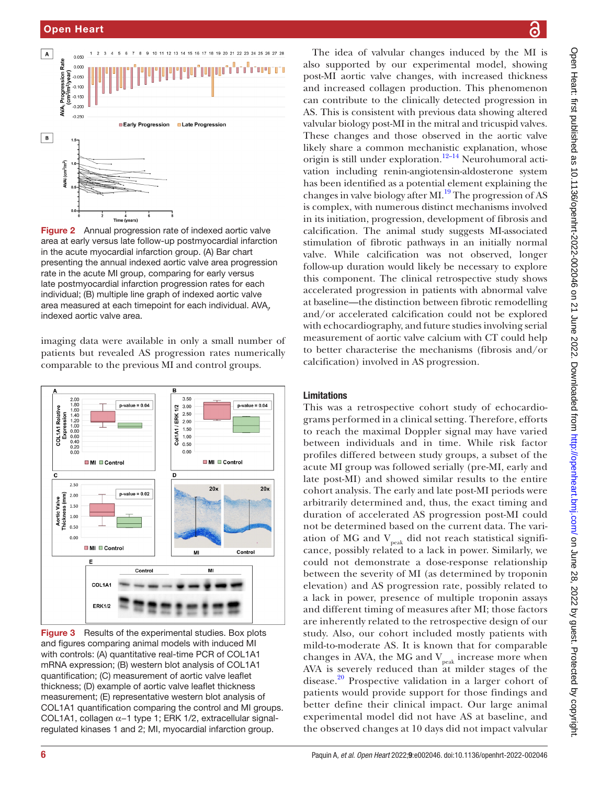

<span id="page-5-0"></span>**Figure 2** Annual progression rate of indexed aortic valve area at early versus late follow-up postmyocardial infarction in the acute myocardial infarction group. (A) Bar chart presenting the annual indexed aortic valve area progression rate in the acute MI group, comparing for early versus late postmyocardial infarction progression rates for each individual; (B) multiple line graph of indexed aortic valve area measured at each timepoint for each individual. AVA<sub>1</sub>, indexed aortic valve area.

imaging data were available in only a small number of patients but revealed AS progression rates numerically comparable to the previous MI and control groups.



<span id="page-5-1"></span>Figure 3 Results of the experimental studies. Box plots and figures comparing animal models with induced MI with controls: (A) quantitative real-time PCR of COL1A1 mRNA expression; (B) western blot analysis of COL1A1 quantification; (C) measurement of aortic valve leaflet thickness; (D) example of aortic valve leaflet thickness measurement; (E) representative western blot analysis of COL1A1 quantification comparing the control and MI groups. COL1A1, collagen α−1 type 1; ERK 1/2, extracellular signalregulated kinases 1 and 2; MI, myocardial infarction group.

The idea of valvular changes induced by the MI is also supported by our experimental model, showing post-MI aortic valve changes, with increased thickness and increased collagen production. This phenomenon can contribute to the clinically detected progression in AS. This is consistent with previous data showing altered valvular biology post-MI in the mitral and tricuspid valves. These changes and those observed in the aortic valve likely share a common mechanistic explanation, whose origin is still under exploration.<sup>12–14</sup> Neurohumoral activation including renin-angiotensin-aldosterone system has been identified as a potential element explaining the changes in valve biology after  $ML^{19}$  The progression of AS is complex, with numerous distinct mechanisms involved in its initiation, progression, development of fibrosis and calcification. The animal study suggests MI-associated stimulation of fibrotic pathways in an initially normal valve. While calcification was not observed, longer follow-up duration would likely be necessary to explore this component. The clinical retrospective study shows accelerated progression in patients with abnormal valve at baseline—the distinction between fibrotic remodelling and/or accelerated calcification could not be explored with echocardiography, and future studies involving serial measurement of aortic valve calcium with CT could help to better characterise the mechanisms (fibrosis and/or calcification) involved in AS progression.

# Limitations

This was a retrospective cohort study of echocardiograms performed in a clinical setting. Therefore, efforts to reach the maximal Doppler signal may have varied between individuals and in time. While risk factor profiles differed between study groups, a subset of the acute MI group was followed serially (pre-MI, early and late post-MI) and showed similar results to the entire cohort analysis. The early and late post-MI periods were arbitrarily determined and, thus, the exact timing and duration of accelerated AS progression post-MI could not be determined based on the current data. The variation of MG and  $V_{peak}$  did not reach statistical significance, possibly related to a lack in power. Similarly, we could not demonstrate a dose-response relationship between the severity of MI (as determined by troponin elevation) and AS progression rate, possibly related to a lack in power, presence of multiple troponin assays and different timing of measures after MI; those factors are inherently related to the retrospective design of our study. Also, our cohort included mostly patients with mild-to-moderate AS. It is known that for comparable changes in AVA, the MG and  $V_{peak}$  increase more when AVA is severely reduced than at milder stages of the disease.<sup>[20](#page-6-12)</sup> Prospective validation in a larger cohort of patients would provide support for those findings and better define their clinical impact. Our large animal experimental model did not have AS at baseline, and the observed changes at 10 days did not impact valvular